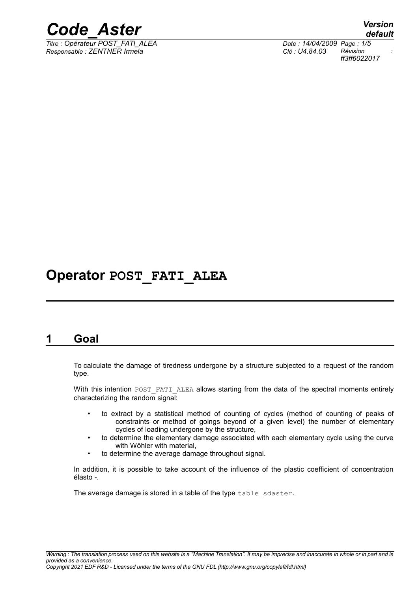

*Titre : Opérateur POST\_FATI\_ALEA Date : 14/04/2009 Page : 1/5 Responsable : ZENTNER Irmela Clé : U4.84.03 Révision :*

*default ff3ff6022017*

# **Operator POST\_FATI\_ALEA**

### **1 Goal**

To calculate the damage of tiredness undergone by a structure subjected to a request of the random type.

With this intention POST\_FATI\_ALEA allows starting from the data of the spectral moments entirely characterizing the random signal:

- to extract by a statistical method of counting of cycles (method of counting of peaks of constraints or method of goings beyond of a given level) the number of elementary cycles of loading undergone by the structure,
- to determine the elementary damage associated with each elementary cycle using the curve with Wöhler with material,
- to determine the average damage throughout signal.

In addition, it is possible to take account of the influence of the plastic coefficient of concentration élasto -.

The average damage is stored in a table of the type table sdaster.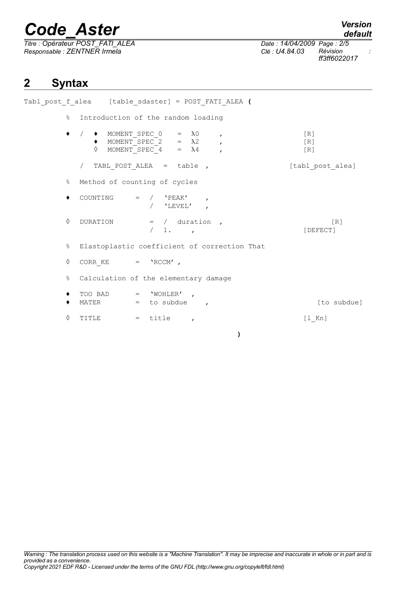*Titre : Opérateur POST\_FATI\_ALEA Date : 14/04/2009 Page : 2/5 Responsable : ZENTNER Irmela Clé : U4.84.03 Révision :*

*ff3ff6022017*

## **2 Syntax**

Tabl\_post\_f\_alea [table\_sdaster] = POST\_FATI\_ALEA **(** % Introduction of the random loading  $\bullet$  /  $\bullet$  MOMENT\_SPEC\_0 =  $\lambda$ 0 , [R]  $\bullet$  MOMENT SPEC 2 =  $\lambda$ 2 , [R]  $\Diamond$  MOMENT\_SPEC\_4 =  $\lambda$ 4 , [R] / TABL\_POST\_ALEA = table ,  $[tab1_post_alea]$ % Method of counting of cycles  $\bullet$  COUNTING = /  $'PEAK'$ / 'LEVEL' , ◊ DURATION = / duration , [R] / 1. , [DEFECT] % Elastoplastic coefficient of correction That  $\Diamond$  CORR KE = 'RCCM' , % Calculation of the elementary damage  $TOO$  BAD  $=$  'WOHLER' ◆ MATER = to subdue , the subdue subdue , the subdue is to subdue , the subdue is the subdue of  $\sim$  500 mHz and  $\sim$  500 mHz and  $\sim$  500 mHz and  $\sim$  500 mHz and  $\sim$  500 mHz and  $\sim$  500 mHz and  $\sim$  500 mHz and  $\sim$  5  $\Diamond$  TITLE = title ,  $[1_Kn]$ 

**)**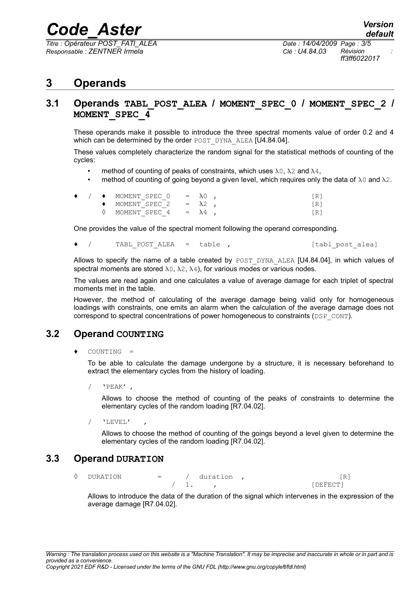*Titre : Opérateur POST\_FATI\_ALEA Date : 14/04/2009 Page : 3/5 Responsable : ZENTNER Irmela Clé : U4.84.03 Révision :*

*ff3ff6022017*

### **3 Operands**

#### **3.1 Operands TABL\_POST\_ALEA / MOMENT\_SPEC\_0 / MOMENT\_SPEC\_2 / MOMENT\_SPEC\_4**

These operands make it possible to introduce the three spectral moments value of order 0.2 and 4 which can be determined by the order POST DYNA ALEA [U4.84.04].

These values completely characterize the random signal for the statistical methods of counting of the cycles:

- method of counting of peaks of constraints, which uses  $\lambda_0$ ,  $\lambda_2$  and  $\lambda_4$ ,
- method of counting of going beyond a given level, which requires only the data of  $\lambda$ 0 and  $\lambda$ 2.

|  | $\rightarrow$ $\rightarrow$ MOMENT SPEC 0 = $\lambda$ 0, |  |     |
|--|----------------------------------------------------------|--|-----|
|  | $\rightarrow$ MOMENT SPEC 2 = $\lambda$ 2,               |  | [R] |
|  | $\Diamond$ MOMENT SPEC 4 = $\lambda$ 4,                  |  | [R] |

One provides the value of the spectral moment following the operand corresponding.

/ TABL POST ALEA = table , [tabl post alea]

Allows to specify the name of a table created by POST DYNA ALEA [U4.84.04], in which values of spectral moments are stored  $\lambda_0$ ,  $\lambda_2$ ,  $\lambda_4$ ), for various modes or various nodes.

The values are read again and one calculates a value of average damage for each triplet of spectral moments met in the table.

However, the method of calculating of the average damage being valid only for homogeneous loadings with constraints, one emits an alarm when the calculation of the average damage does not correspond to spectral concentrations of power homogeneous to constraints ( $\text{DEF}$  CONT).

#### **3.2 Operand COUNTING**

♦ COUNTING =

To be able to calculate the damage undergone by a structure, it is necessary beforehand to extract the elementary cycles from the history of loading.

/ 'PEAK' ,

Allows to choose the method of counting of the peaks of constraints to determine the elementary cycles of the random loading [R7.04.02].

 $/$  'LEVEL'

Allows to choose the method of counting of the goings beyond a level given to determine the elementary cycles of the random loading [R7.04.02].

#### **3.3 Operand DURATION**

◊ DURATION = / duration , [R] 1.  $\blacksquare$ 

Allows to introduce the data of the duration of the signal which intervenes in the expression of the average damage [R7.04.02].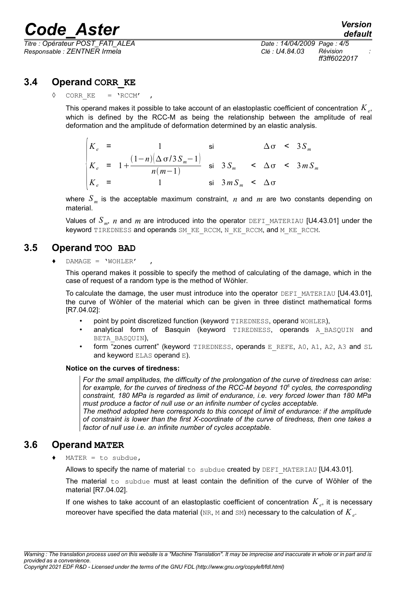*Responsable : ZENTNER Irmela Clé : U4.84.03 Révision :*

*Titre : Opérateur POST\_FATI\_ALEA Date : 14/04/2009 Page : 4/5 ff3ff6022017*

#### **3.4 Operand CORR\_KE**

CORR  $KE = 'RCCM'$ 

This operand makes it possible to take account of an elastoplastic coefficient of concentration  $K_{\mathit{e^+}}$ which is defined by the RCC-M as being the relationship between the amplitude of real deformation and the amplitude of deformation determined by an elastic analysis.

| $K_e$ =   |                                                                                            |                            |  | $\Delta \sigma$ < 3 $S_m$ |
|-----------|--------------------------------------------------------------------------------------------|----------------------------|--|---------------------------|
|           | $K_e = 1 + \frac{(1-n)(\Delta \sigma/3S_m - 1)}{n(m-1)}$ si $3S_m < \Delta \sigma < 3mS_m$ |                            |  |                           |
| $ K_e $ = |                                                                                            | si $3mS_m < \Delta \sigma$ |  |                           |

where  $S_m$  is the acceptable maximum constraint, *n* and *m* are two constants depending on material.

Values of  $S_m$ ,  $n$  and  $m$  are introduced into the operator DEFI\_MATERIAU [U4.43.01] under the keyword TIREDNESS and operands SM\_KE\_RCCM, N\_KE\_RCCM, and M\_KE\_RCCM.

#### **3.5 Operand TOO BAD**

 $DAMAGE = 'WOHLER'$ 

This operand makes it possible to specify the method of calculating of the damage, which in the case of request of a random type is the method of Wöhler.

To calculate the damage, the user must introduce into the operator DEFI\_MATERIAU  $[U4.43.01]$ , the curve of Wöhler of the material which can be given in three distinct mathematical forms [R7.04.02]:

- point by point discretized function (keyword TIREDNESS, operand WOHLER),
- analytical form of Basquin (keyword TIREDNESS, operands A BASQUIN and BETA\_BASQUIN),
- form "zones current" (keyword TIREDNESS, operands E\_REFE, A0, A1, A2, A3 and SL and keyword ELAS operand E).

#### **Notice on the curves of tiredness:**

*For the small amplitudes, the difficulty of the prolongation of the curve of tiredness can arise: for example, for the curves of tiredness of the RCC-M beyond 10<sup>6</sup> cycles, the corresponding constraint, 180 MPa is regarded as limit of endurance, i.e. very forced lower than 180 MPa must produce a factor of null use or an infinite number of cycles acceptable.*

*The method adopted here corresponds to this concept of limit of endurance: if the amplitude of constraint is lower than the first X-coordinate of the curve of tiredness, then one takes a factor of null use i.e. an infinite number of cycles acceptable.*

#### **3.6 Operand MATER**

 $MATER = to subdue,$ 

Allows to specify the name of material to subdue created by DEFI\_MATERIAU [U4.43.01].

The material  $to$  subdue must at least contain the definition of the curve of Wöhler of the material [R7.04.02].

If one wishes to take account of an elastoplastic coefficient of concentration *K<sup>e</sup>* , it is necessary moreover have specified the data material ( $\text{\tiny{NR, M}}$  and  $\text{\tiny{SM}}$ ) necessary to the calculation of  $K_{e}$ .